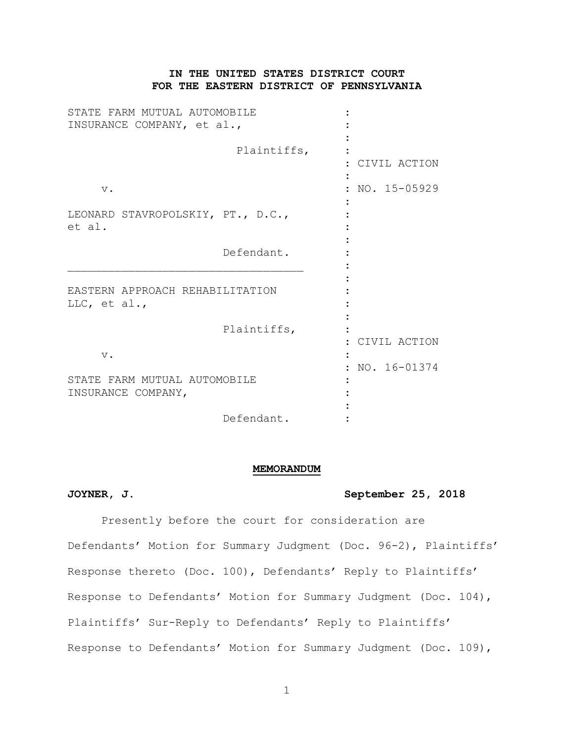# **IN THE UNITED STATES DISTRICT COURT FOR THE EASTERN DISTRICT OF PENNSYLVANIA**

| STATE FARM MUTUAL AUTOMOBILE<br>INSURANCE COMPANY, et al., |             |              |
|------------------------------------------------------------|-------------|--------------|
|                                                            | Plaintiffs, | CIVIL ACTION |
| $\mathbf v$ .                                              |             | NO. 15-05929 |
| LEONARD STAVROPOLSKIY, PT., D.C.,<br>et al.                |             |              |
|                                                            | Defendant.  |              |
| EASTERN APPROACH REHABILITATION<br>LLC, et al.,            |             |              |
|                                                            | Plaintiffs, | CIVIL ACTION |
| $V$ .                                                      |             | NO. 16-01374 |
| STATE FARM MUTUAL AUTOMOBILE<br>INSURANCE COMPANY,         |             |              |
|                                                            | Defendant.  |              |

#### **MEMORANDUM**

## **JOYNER, J. September 25, 2018**

Presently before the court for consideration are Defendants' Motion for Summary Judgment (Doc. 96-2), Plaintiffs' Response thereto (Doc. 100), Defendants' Reply to Plaintiffs' Response to Defendants' Motion for Summary Judgment (Doc. 104), Plaintiffs' Sur-Reply to Defendants' Reply to Plaintiffs' Response to Defendants' Motion for Summary Judgment (Doc. 109),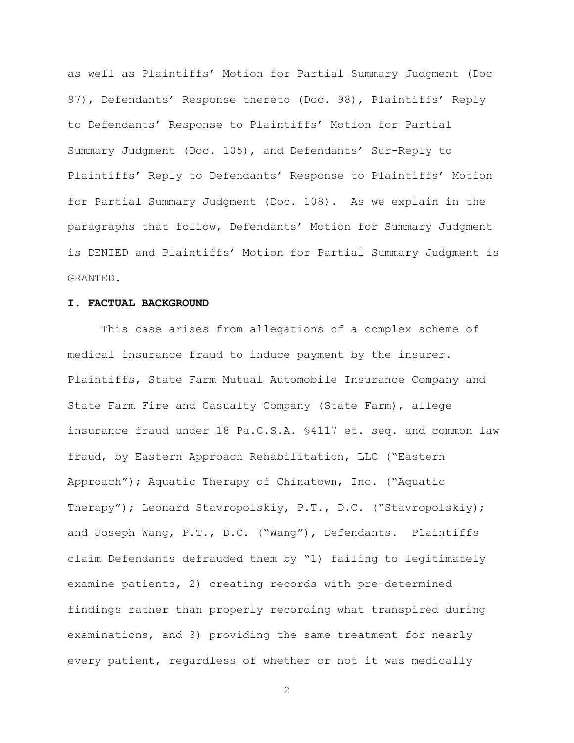as well as Plaintiffs' Motion for Partial Summary Judgment (Doc 97), Defendants' Response thereto (Doc. 98), Plaintiffs' Reply to Defendants' Response to Plaintiffs' Motion for Partial Summary Judgment (Doc. 105), and Defendants' Sur-Reply to Plaintiffs' Reply to Defendants' Response to Plaintiffs' Motion for Partial Summary Judgment (Doc. 108). As we explain in the paragraphs that follow, Defendants' Motion for Summary Judgment is DENIED and Plaintiffs' Motion for Partial Summary Judgment is GRANTED.

#### **I. FACTUAL BACKGROUND**

This case arises from allegations of a complex scheme of medical insurance fraud to induce payment by the insurer. Plaintiffs, State Farm Mutual Automobile Insurance Company and State Farm Fire and Casualty Company (State Farm), allege insurance fraud under 18 Pa.C.S.A. §4117 et. seq. and common law fraud, by Eastern Approach Rehabilitation, LLC ("Eastern Approach"); Aquatic Therapy of Chinatown, Inc. ("Aquatic Therapy"); Leonard Stavropolskiy, P.T., D.C. ("Stavropolskiy); and Joseph Wang, P.T., D.C. ("Wang"), Defendants. Plaintiffs claim Defendants defrauded them by "1) failing to legitimately examine patients, 2) creating records with pre-determined findings rather than properly recording what transpired during examinations, and 3) providing the same treatment for nearly every patient, regardless of whether or not it was medically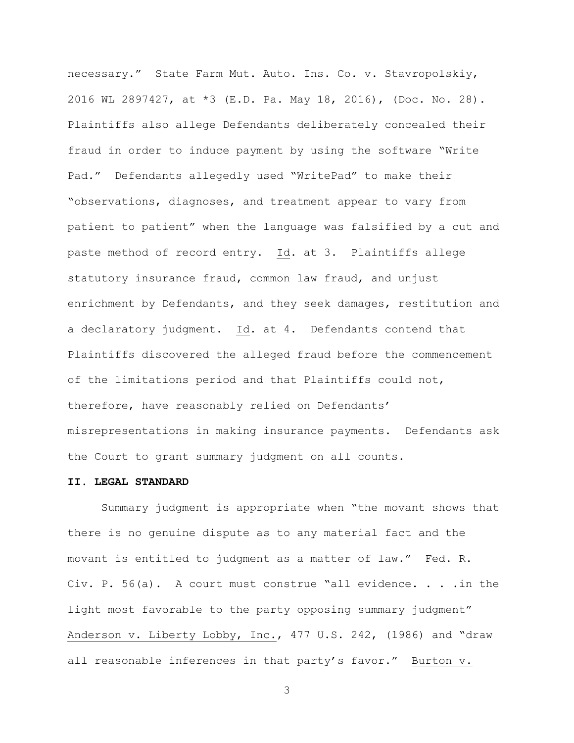necessary." State Farm Mut. Auto. Ins. Co. v. Stavropolskiy, 2016 WL 2897427, at \*3 (E.D. Pa. May 18, 2016), (Doc. No. 28). Plaintiffs also allege Defendants deliberately concealed their fraud in order to induce payment by using the software "Write Pad." Defendants allegedly used "WritePad" to make their "observations, diagnoses, and treatment appear to vary from patient to patient" when the language was falsified by a cut and paste method of record entry. Id. at 3. Plaintiffs allege statutory insurance fraud, common law fraud, and unjust enrichment by Defendants, and they seek damages, restitution and a declaratory judgment. Id. at 4. Defendants contend that Plaintiffs discovered the alleged fraud before the commencement of the limitations period and that Plaintiffs could not, therefore, have reasonably relied on Defendants' misrepresentations in making insurance payments. Defendants ask the Court to grant summary judgment on all counts.

## **II. LEGAL STANDARD**

Summary judgment is appropriate when "the movant shows that there is no genuine dispute as to any material fact and the movant is entitled to judgment as a matter of law." Fed. R. Civ. P. 56(a). A court must construe "all evidence. . . .in the light most favorable to the party opposing summary judgment" Anderson v. Liberty Lobby, Inc., 477 U.S. 242, (1986) and "draw all reasonable inferences in that party's favor." Burton v.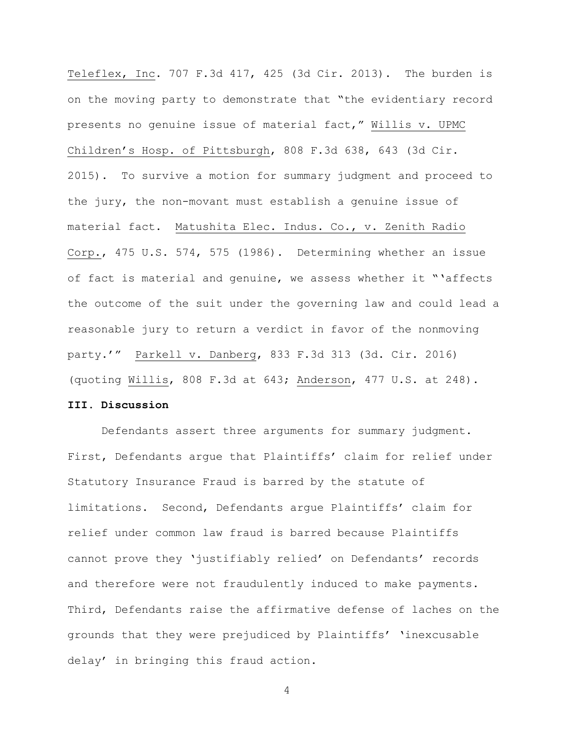Teleflex, Inc. 707 F.3d 417, 425 (3d Cir. 2013). The burden is on the moving party to demonstrate that "the evidentiary record presents no genuine issue of material fact," Willis v. UPMC Children's Hosp. of Pittsburgh, 808 F.3d 638, 643 (3d Cir. 2015). To survive a motion for summary judgment and proceed to the jury, the non-movant must establish a genuine issue of material fact. Matushita Elec. Indus. Co., v. Zenith Radio Corp., 475 U.S. 574, 575 (1986). Determining whether an issue of fact is material and genuine, we assess whether it "'affects the outcome of the suit under the governing law and could lead a reasonable jury to return a verdict in favor of the nonmoving party.'" Parkell v. Danberg, 833 F.3d 313 (3d. Cir. 2016) (quoting Willis, 808 F.3d at 643; Anderson, 477 U.S. at 248).

# **III. Discussion**

Defendants assert three arguments for summary judgment. First, Defendants argue that Plaintiffs' claim for relief under Statutory Insurance Fraud is barred by the statute of limitations. Second, Defendants argue Plaintiffs' claim for relief under common law fraud is barred because Plaintiffs cannot prove they 'justifiably relied' on Defendants' records and therefore were not fraudulently induced to make payments. Third, Defendants raise the affirmative defense of laches on the grounds that they were prejudiced by Plaintiffs' 'inexcusable delay' in bringing this fraud action.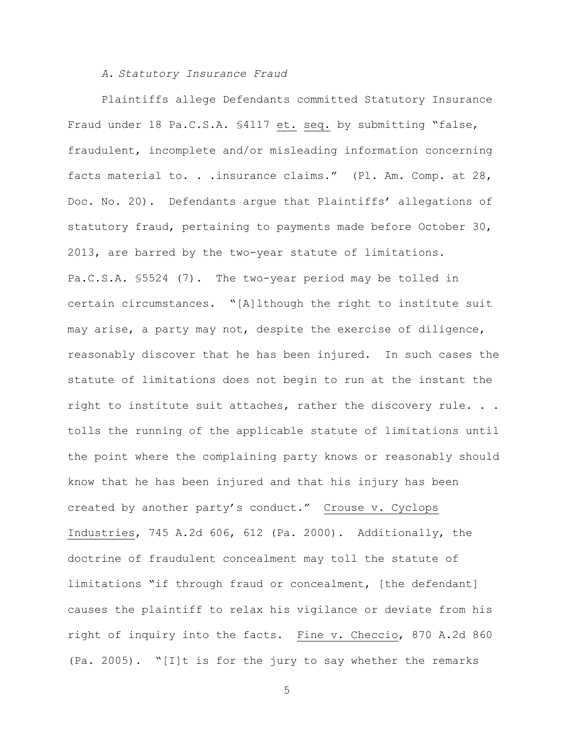### *A. Statutory Insurance Fraud*

Plaintiffs allege Defendants committed Statutory Insurance Fraud under 18 Pa.C.S.A. §4117 et. seq. by submitting "false, fraudulent, incomplete and/or misleading information concerning facts material to. . . insurance claims." (Pl. Am. Comp. at 28, Doc. No. 20). Defendants argue that Plaintiffs' allegations of statutory fraud, pertaining to payments made before October 30, 2013, are barred by the two-year statute of limitations. Pa.C.S.A. §5524 (7). The two-year period may be tolled in certain circumstances. "[A]lthough the right to institute suit may arise, a party may not, despite the exercise of diligence, reasonably discover that he has been injured. In such cases the statute of limitations does not begin to run at the instant the right to institute suit attaches, rather the discovery rule. . . tolls the running of the applicable statute of limitations until the point where the complaining party knows or reasonably should know that he has been injured and that his injury has been created by another party's conduct." Crouse v. Cyclops Industries, 745 A.2d 606, 612 (Pa. 2000). Additionally, the doctrine of fraudulent concealment may toll the statute of limitations "if through fraud or concealment, [the defendant] causes the plaintiff to relax his vigilance or deviate from his right of inquiry into the facts. Fine v. Checcio, 870 A.2d 860 (Pa. 2005). "[I]t is for the jury to say whether the remarks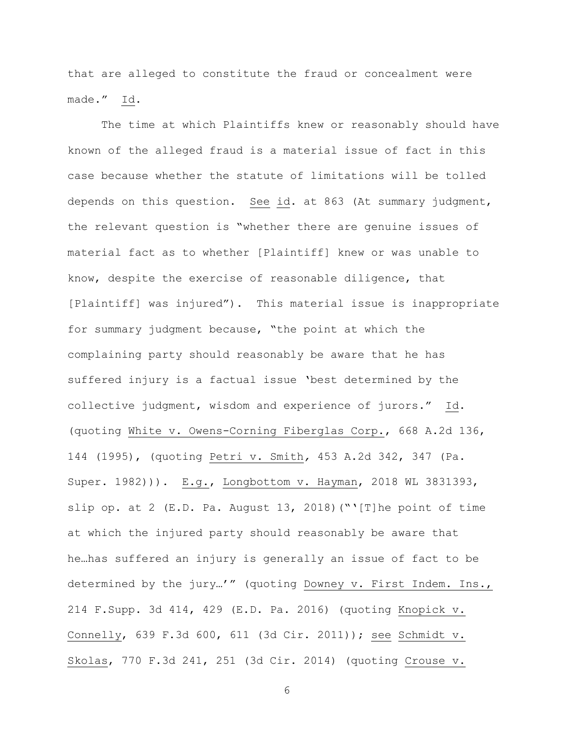that are alleged to constitute the fraud or concealment were made." Id.

The time at which Plaintiffs knew or reasonably should have known of the alleged fraud is a material issue of fact in this case because whether the statute of limitations will be tolled depends on this question. See id. at 863 (At summary judgment, the relevant question is "whether there are genuine issues of material fact as to whether [Plaintiff] knew or was unable to know, despite the exercise of reasonable diligence, that [Plaintiff] was injured"). This material issue is inappropriate for summary judgment because, "the point at which the complaining party should reasonably be aware that he has suffered injury is a factual issue 'best determined by the collective judgment, wisdom and experience of jurors." Id. (quoting White v. Owens-Corning Fiberglas Corp., 668 A.2d 136, 144 (1995), (quoting Petri v. Smith*,* 453 A.2d 342, 347 (Pa. Super. 1982))). E.g., Longbottom v. Hayman, 2018 WL 3831393, slip op. at 2 (E.D. Pa. August 13, 2018) ("'[T]he point of time at which the injured party should reasonably be aware that he…has suffered an injury is generally an issue of fact to be determined by the jury…'" (quoting Downey v. First Indem. Ins., 214 F.Supp. 3d 414, 429 (E.D. Pa. 2016) (quoting Knopick v. Connelly, 639 F.3d 600, 611 (3d Cir. 2011)); see Schmidt v. Skolas, 770 F.3d 241, 251 (3d Cir. 2014) (quoting Crouse v.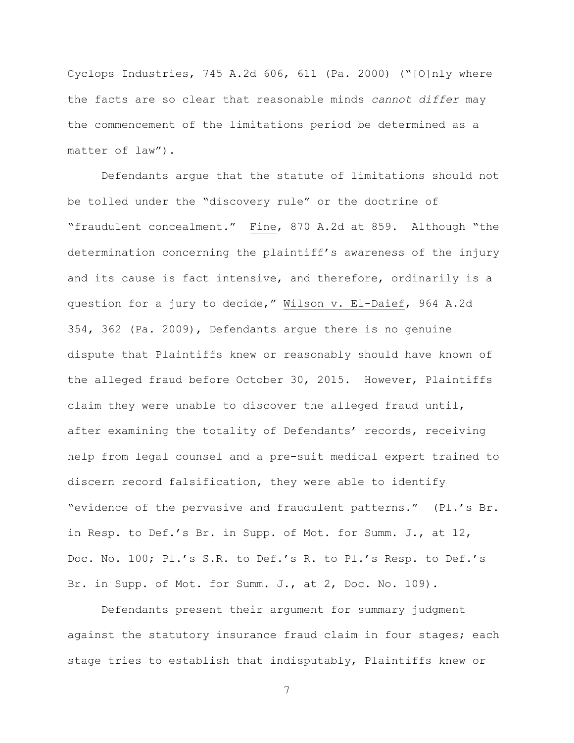Cyclops Industries, 745 A.2d 606, 611 (Pa. 2000) ("[O]nly where the facts are so clear that reasonable minds *cannot differ* may the commencement of the limitations period be determined as a matter of law").

Defendants argue that the statute of limitations should not be tolled under the "discovery rule" or the doctrine of "fraudulent concealment." Fine, 870 A.2d at 859. Although "the determination concerning the plaintiff's awareness of the injury and its cause is fact intensive, and therefore, ordinarily is a question for a jury to decide," Wilson v. El-Daief, 964 A.2d 354, 362 (Pa. 2009), Defendants argue there is no genuine dispute that Plaintiffs knew or reasonably should have known of the alleged fraud before October 30, 2015. However, Plaintiffs claim they were unable to discover the alleged fraud until, after examining the totality of Defendants' records, receiving help from legal counsel and a pre-suit medical expert trained to discern record falsification, they were able to identify "evidence of the pervasive and fraudulent patterns." (Pl.'s Br. in Resp. to Def.'s Br. in Supp. of Mot. for Summ. J., at 12, Doc. No. 100; Pl.'s S.R. to Def.'s R. to Pl.'s Resp. to Def.'s Br. in Supp. of Mot. for Summ. J., at 2, Doc. No. 109).

Defendants present their argument for summary judgment against the statutory insurance fraud claim in four stages; each stage tries to establish that indisputably, Plaintiffs knew or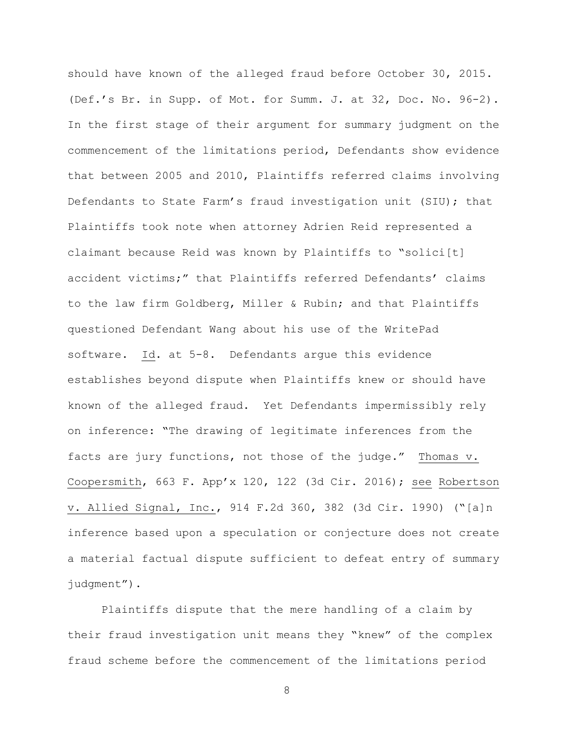should have known of the alleged fraud before October 30, 2015. (Def.'s Br. in Supp. of Mot. for Summ. J. at 32, Doc. No. 96-2). In the first stage of their argument for summary judgment on the commencement of the limitations period, Defendants show evidence that between 2005 and 2010, Plaintiffs referred claims involving Defendants to State Farm's fraud investigation unit (SIU); that Plaintiffs took note when attorney Adrien Reid represented a claimant because Reid was known by Plaintiffs to "solici[t] accident victims;" that Plaintiffs referred Defendants' claims to the law firm Goldberg, Miller & Rubin; and that Plaintiffs questioned Defendant Wang about his use of the WritePad software. Id. at 5-8. Defendants argue this evidence establishes beyond dispute when Plaintiffs knew or should have known of the alleged fraud. Yet Defendants impermissibly rely on inference: "The drawing of legitimate inferences from the facts are jury functions, not those of the judge." Thomas v. Coopersmith, 663 F. App'x 120, 122 (3d Cir. 2016); see Robertson v. Allied Signal, Inc., 914 F.2d 360, 382 (3d Cir. 1990) ("[a]n inference based upon a speculation or conjecture does not create a material factual dispute sufficient to defeat entry of summary judgment").

Plaintiffs dispute that the mere handling of a claim by their fraud investigation unit means they "knew" of the complex fraud scheme before the commencement of the limitations period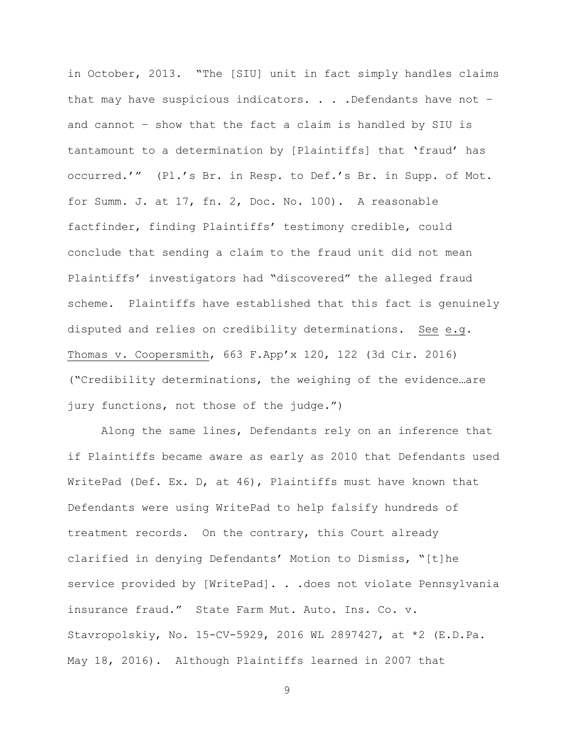in October, 2013. "The [SIU] unit in fact simply handles claims that may have suspicious indicators. . . . Defendants have not and cannot – show that the fact a claim is handled by SIU is tantamount to a determination by [Plaintiffs] that 'fraud' has occurred.'" (Pl.'s Br. in Resp. to Def.'s Br. in Supp. of Mot. for Summ. J. at 17, fn. 2, Doc. No. 100). A reasonable factfinder, finding Plaintiffs' testimony credible, could conclude that sending a claim to the fraud unit did not mean Plaintiffs' investigators had "discovered" the alleged fraud scheme. Plaintiffs have established that this fact is genuinely disputed and relies on credibility determinations. See e.g. Thomas v. Coopersmith, 663 F.App'x 120, 122 (3d Cir. 2016) ("Credibility determinations, the weighing of the evidence…are jury functions, not those of the judge.")

Along the same lines, Defendants rely on an inference that if Plaintiffs became aware as early as 2010 that Defendants used WritePad (Def. Ex. D, at 46), Plaintiffs must have known that Defendants were using WritePad to help falsify hundreds of treatment records. On the contrary, this Court already clarified in denying Defendants' Motion to Dismiss, "[t]he service provided by [WritePad]. . .does not violate Pennsylvania insurance fraud." State Farm Mut. Auto. Ins. Co. v. Stavropolskiy, No. 15-CV-5929, 2016 WL 2897427, at \*2 (E.D.Pa. May 18, 2016). Although Plaintiffs learned in 2007 that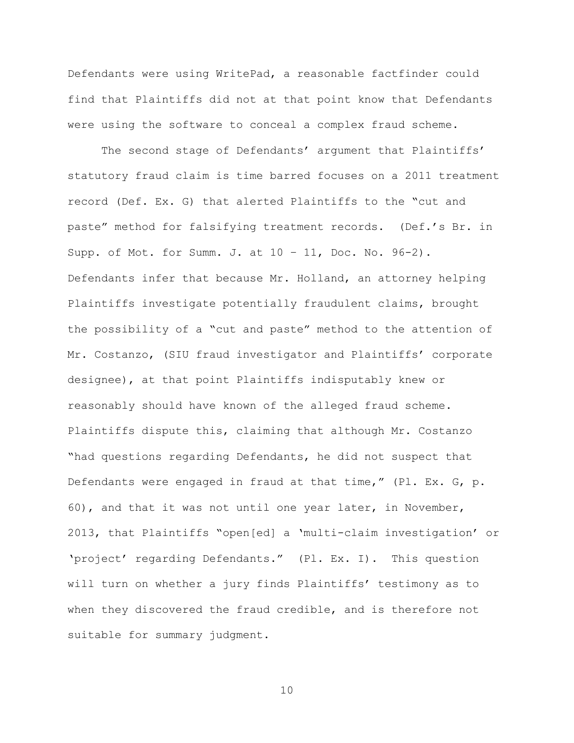Defendants were using WritePad, a reasonable factfinder could find that Plaintiffs did not at that point know that Defendants were using the software to conceal a complex fraud scheme.

The second stage of Defendants' argument that Plaintiffs' statutory fraud claim is time barred focuses on a 2011 treatment record (Def. Ex. G) that alerted Plaintiffs to the "cut and paste" method for falsifying treatment records. (Def.'s Br. in Supp. of Mot. for Summ. J. at 10 – 11, Doc. No. 96-2). Defendants infer that because Mr. Holland, an attorney helping Plaintiffs investigate potentially fraudulent claims, brought the possibility of a "cut and paste" method to the attention of Mr. Costanzo, (SIU fraud investigator and Plaintiffs' corporate designee), at that point Plaintiffs indisputably knew or reasonably should have known of the alleged fraud scheme. Plaintiffs dispute this, claiming that although Mr. Costanzo "had questions regarding Defendants, he did not suspect that Defendants were engaged in fraud at that time," (Pl. Ex. G, p. 60), and that it was not until one year later, in November, 2013, that Plaintiffs "open[ed] a 'multi-claim investigation' or 'project' regarding Defendants." (Pl. Ex. I). This question will turn on whether a jury finds Plaintiffs' testimony as to when they discovered the fraud credible, and is therefore not suitable for summary judgment.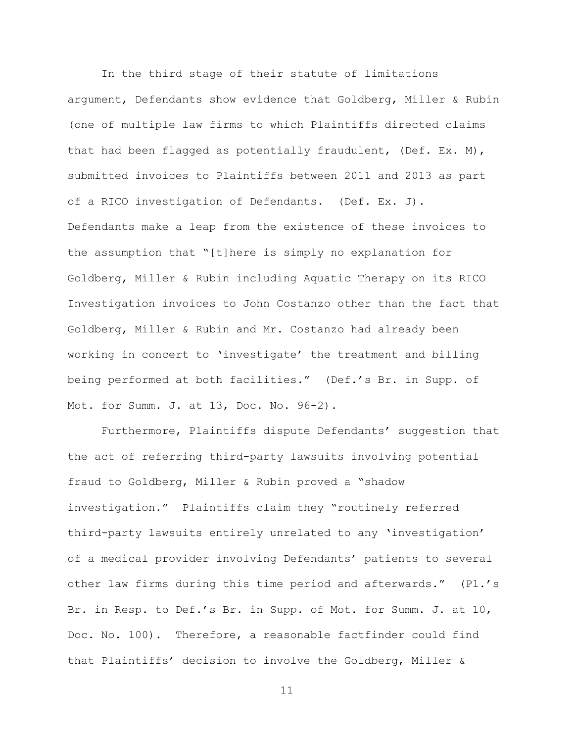In the third stage of their statute of limitations argument, Defendants show evidence that Goldberg, Miller & Rubin (one of multiple law firms to which Plaintiffs directed claims that had been flagged as potentially fraudulent, (Def. Ex. M), submitted invoices to Plaintiffs between 2011 and 2013 as part of a RICO investigation of Defendants. (Def. Ex. J). Defendants make a leap from the existence of these invoices to the assumption that "[t]here is simply no explanation for Goldberg, Miller & Rubin including Aquatic Therapy on its RICO Investigation invoices to John Costanzo other than the fact that Goldberg, Miller & Rubin and Mr. Costanzo had already been working in concert to 'investigate' the treatment and billing being performed at both facilities." (Def.'s Br. in Supp. of Mot. for Summ. J. at 13, Doc. No. 96-2).

Furthermore, Plaintiffs dispute Defendants' suggestion that the act of referring third-party lawsuits involving potential fraud to Goldberg, Miller & Rubin proved a "shadow investigation." Plaintiffs claim they "routinely referred third-party lawsuits entirely unrelated to any 'investigation' of a medical provider involving Defendants' patients to several other law firms during this time period and afterwards." (Pl.'s Br. in Resp. to Def.'s Br. in Supp. of Mot. for Summ. J. at 10, Doc. No. 100). Therefore, a reasonable factfinder could find that Plaintiffs' decision to involve the Goldberg, Miller &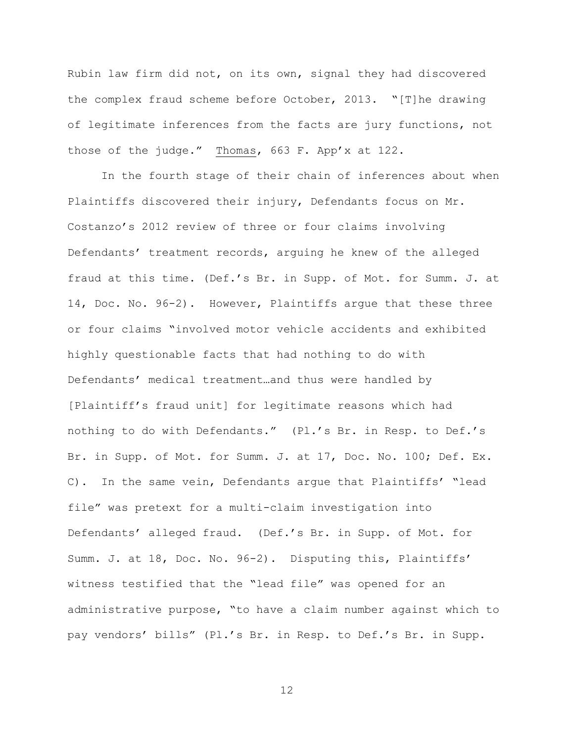Rubin law firm did not, on its own, signal they had discovered the complex fraud scheme before October, 2013. "[T]he drawing of legitimate inferences from the facts are jury functions, not those of the judge." Thomas, 663 F. App'x at 122.

In the fourth stage of their chain of inferences about when Plaintiffs discovered their injury, Defendants focus on Mr. Costanzo's 2012 review of three or four claims involving Defendants' treatment records, arguing he knew of the alleged fraud at this time. (Def.'s Br. in Supp. of Mot. for Summ. J. at 14, Doc. No. 96-2). However, Plaintiffs argue that these three or four claims "involved motor vehicle accidents and exhibited highly questionable facts that had nothing to do with Defendants' medical treatment…and thus were handled by [Plaintiff's fraud unit] for legitimate reasons which had nothing to do with Defendants." (Pl.'s Br. in Resp. to Def.'s Br. in Supp. of Mot. for Summ. J. at 17, Doc. No. 100; Def. Ex. C). In the same vein, Defendants argue that Plaintiffs' "lead file" was pretext for a multi-claim investigation into Defendants' alleged fraud. (Def.'s Br. in Supp. of Mot. for Summ. J. at 18, Doc. No. 96-2). Disputing this, Plaintiffs' witness testified that the "lead file" was opened for an administrative purpose, "to have a claim number against which to pay vendors' bills" (Pl.'s Br. in Resp. to Def.'s Br. in Supp.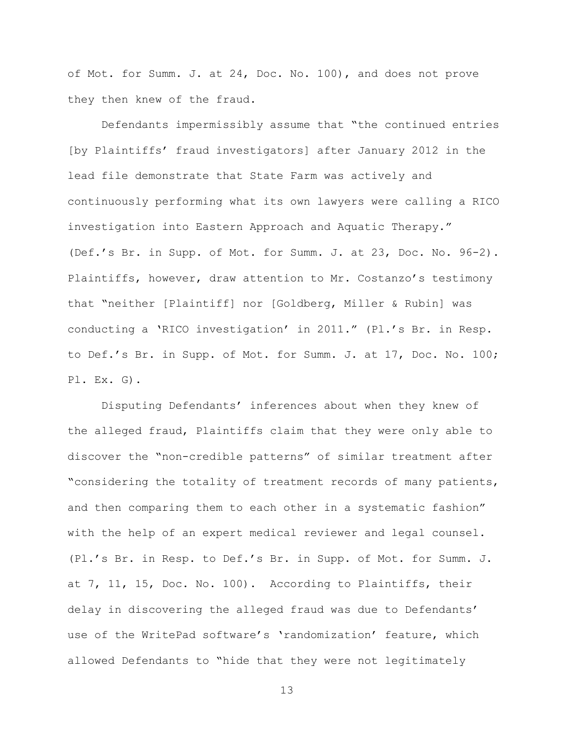of Mot. for Summ. J. at 24, Doc. No. 100), and does not prove they then knew of the fraud.

Defendants impermissibly assume that "the continued entries [by Plaintiffs' fraud investigators] after January 2012 in the lead file demonstrate that State Farm was actively and continuously performing what its own lawyers were calling a RICO investigation into Eastern Approach and Aquatic Therapy." (Def.'s Br. in Supp. of Mot. for Summ. J. at 23, Doc. No. 96-2). Plaintiffs, however, draw attention to Mr. Costanzo's testimony that "neither [Plaintiff] nor [Goldberg, Miller & Rubin] was conducting a 'RICO investigation' in 2011." (Pl.'s Br. in Resp. to Def.'s Br. in Supp. of Mot. for Summ. J. at 17, Doc. No. 100; Pl. Ex. G).

Disputing Defendants' inferences about when they knew of the alleged fraud, Plaintiffs claim that they were only able to discover the "non-credible patterns" of similar treatment after "considering the totality of treatment records of many patients, and then comparing them to each other in a systematic fashion" with the help of an expert medical reviewer and legal counsel. (Pl.'s Br. in Resp. to Def.'s Br. in Supp. of Mot. for Summ. J. at 7, 11, 15, Doc. No. 100). According to Plaintiffs, their delay in discovering the alleged fraud was due to Defendants' use of the WritePad software's 'randomization' feature, which allowed Defendants to "hide that they were not legitimately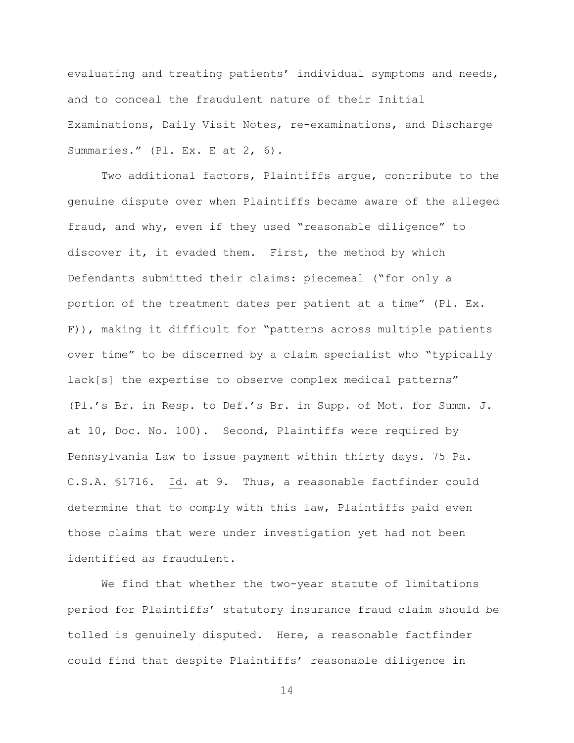evaluating and treating patients' individual symptoms and needs, and to conceal the fraudulent nature of their Initial Examinations, Daily Visit Notes, re-examinations, and Discharge Summaries." (Pl. Ex. E at 2, 6).

Two additional factors, Plaintiffs argue, contribute to the genuine dispute over when Plaintiffs became aware of the alleged fraud, and why, even if they used "reasonable diligence" to discover it, it evaded them. First, the method by which Defendants submitted their claims: piecemeal ("for only a portion of the treatment dates per patient at a time" (Pl. Ex. F)), making it difficult for "patterns across multiple patients over time" to be discerned by a claim specialist who "typically lack[s] the expertise to observe complex medical patterns" (Pl.'s Br. in Resp. to Def.'s Br. in Supp. of Mot. for Summ. J. at 10, Doc. No. 100). Second, Plaintiffs were required by Pennsylvania Law to issue payment within thirty days. 75 Pa. C.S.A. §1716. Id. at 9. Thus, a reasonable factfinder could determine that to comply with this law, Plaintiffs paid even those claims that were under investigation yet had not been identified as fraudulent.

We find that whether the two-year statute of limitations period for Plaintiffs' statutory insurance fraud claim should be tolled is genuinely disputed. Here, a reasonable factfinder could find that despite Plaintiffs' reasonable diligence in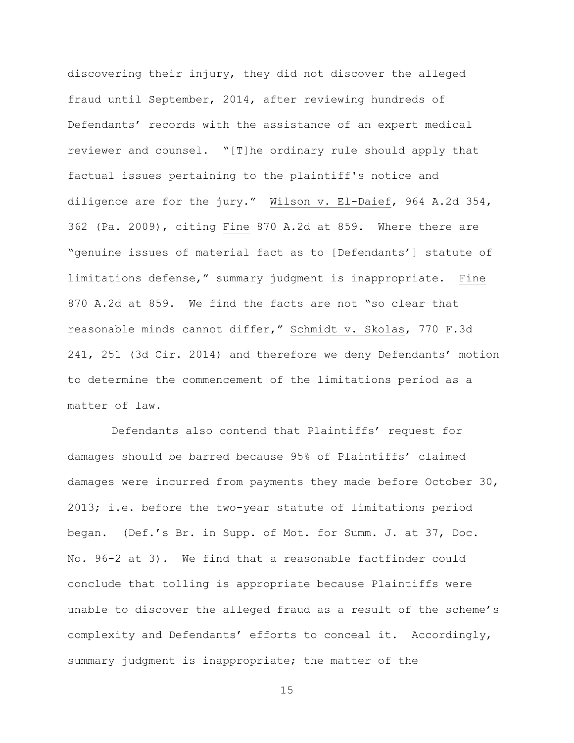discovering their injury, they did not discover the alleged fraud until September, 2014, after reviewing hundreds of Defendants' records with the assistance of an expert medical reviewer and counsel. "[T]he ordinary rule should apply that factual issues pertaining to the plaintiff's notice and diligence are for the jury." Wilson v. El-Daief, 964 A.2d 354, 362 (Pa. 2009), citing Fine 870 A.2d at 859. Where there are "genuine issues of material fact as to [Defendants'] statute of limitations defense," summary judgment is inappropriate. Fine 870 A.2d at 859. We find the facts are not "so clear that reasonable minds cannot differ," Schmidt v. Skolas, 770 F.3d 241, 251 (3d Cir. 2014) and therefore we deny Defendants' motion to determine the commencement of the limitations period as a matter of law.

Defendants also contend that Plaintiffs' request for damages should be barred because 95% of Plaintiffs' claimed damages were incurred from payments they made before October 30, 2013; i.e. before the two-year statute of limitations period began. (Def.'s Br. in Supp. of Mot. for Summ. J. at 37, Doc. No. 96-2 at 3). We find that a reasonable factfinder could conclude that tolling is appropriate because Plaintiffs were unable to discover the alleged fraud as a result of the scheme's complexity and Defendants' efforts to conceal it. Accordingly, summary judgment is inappropriate; the matter of the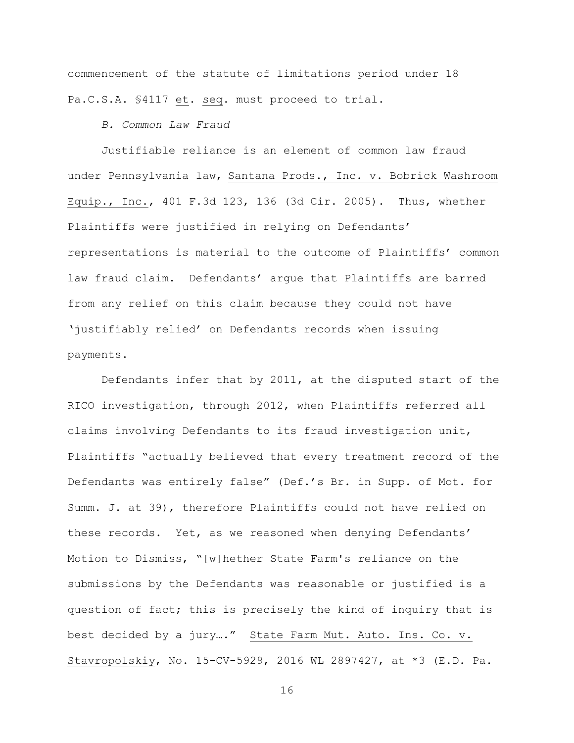commencement of the statute of limitations period under 18 Pa.C.S.A. §4117 et. seq. must proceed to trial.

*B. Common Law Fraud*

Justifiable reliance is an element of common law fraud under Pennsylvania law, [Santana Prods., Inc. v. Bobrick Washroom](https://1.next.westlaw.com/Link/Document/FullText?findType=Y&serNum=2006194821&pubNum=0000506&originatingDoc=I3ba70e901d9711e68cefc52a15cd8e9f&refType=RP&fi=co_pp_sp_506_136&originationContext=document&transitionType=DocumentItem&contextData=(sc.UserEnteredCitation)#co_pp_sp_506_136)  [Equip., Inc., 401 F.3d 123, 136 \(3d Cir. 2005\).](https://1.next.westlaw.com/Link/Document/FullText?findType=Y&serNum=2006194821&pubNum=0000506&originatingDoc=I3ba70e901d9711e68cefc52a15cd8e9f&refType=RP&fi=co_pp_sp_506_136&originationContext=document&transitionType=DocumentItem&contextData=(sc.UserEnteredCitation)#co_pp_sp_506_136) Thus, whether Plaintiffs were justified in relying on Defendants' representations is material to the outcome of Plaintiffs' common law fraud claim. Defendants' argue that Plaintiffs are barred from any relief on this claim because they could not have 'justifiably relied' on Defendants records when issuing payments.

Defendants infer that by 2011, at the disputed start of the RICO investigation, through 2012, when Plaintiffs referred all claims involving Defendants to its fraud investigation unit, Plaintiffs "actually believed that every treatment record of the Defendants was entirely false" (Def.'s Br. in Supp. of Mot. for Summ. J. at 39), therefore Plaintiffs could not have relied on these records. Yet, as we reasoned when denying Defendants' Motion to Dismiss, "[w]hether State Farm's reliance on the submissions by the Defendants was reasonable or justified is a question of fact; this is precisely the kind of inquiry that is best decided by a jury…." State Farm Mut. Auto. Ins. Co. v. Stavropolskiy, No. 15-CV-5929, 2016 WL 2897427, at \*3 (E.D. Pa.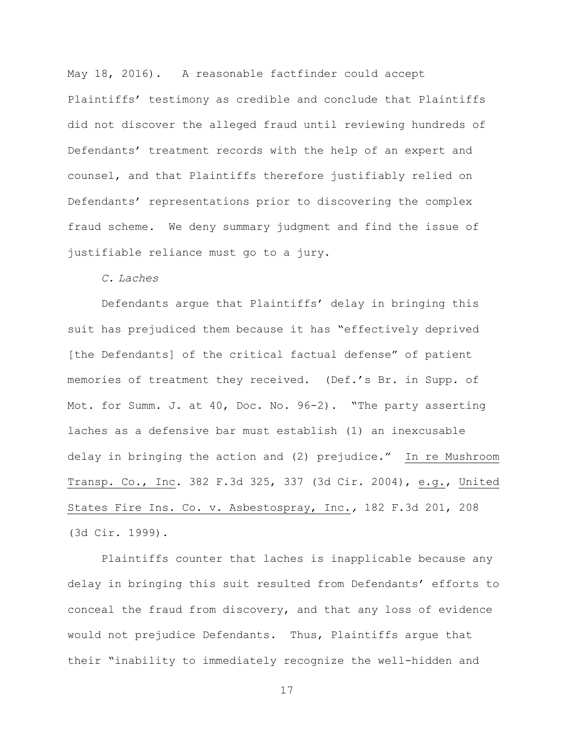May 18, 2016). A reasonable factfinder could accept Plaintiffs' testimony as credible and conclude that Plaintiffs did not discover the alleged fraud until reviewing hundreds of Defendants' treatment records with the help of an expert and counsel, and that Plaintiffs therefore justifiably relied on Defendants' representations prior to discovering the complex fraud scheme. We deny summary judgment and find the issue of justifiable reliance must go to a jury.

*C. Laches*

Defendants argue that Plaintiffs' delay in bringing this suit has prejudiced them because it has "effectively deprived [the Defendants] of the critical factual defense" of patient memories of treatment they received. (Def.'s Br. in Supp. of Mot. for Summ. J. at 40, Doc. No. 96-2). "The party asserting laches as a defensive bar must establish (1) an inexcusable delay in bringing the action and (2) prejudice." In re Mushroom Transp. Co., Inc. 382 F.3d 325, 337 (3d Cir. 2004), e.g., [United](https://1.next.westlaw.com/Link/Document/FullText?findType=Y&serNum=1999153366&pubNum=506&originatingDoc=I61779bec7c8a11d99c4dbb2f0352441d&refType=RP&fi=co_pp_sp_506_208&originationContext=document&transitionType=DocumentItem&contextData=(sc.UserEnteredCitation)#co_pp_sp_506_208)  [States Fire Ins. Co. v. Asbestospray, Inc.](https://1.next.westlaw.com/Link/Document/FullText?findType=Y&serNum=1999153366&pubNum=506&originatingDoc=I61779bec7c8a11d99c4dbb2f0352441d&refType=RP&fi=co_pp_sp_506_208&originationContext=document&transitionType=DocumentItem&contextData=(sc.UserEnteredCitation)#co_pp_sp_506_208)*,* 182 F.3d 201, 208 [\(3d Cir. 1999\).](https://1.next.westlaw.com/Link/Document/FullText?findType=Y&serNum=1999153366&pubNum=506&originatingDoc=I61779bec7c8a11d99c4dbb2f0352441d&refType=RP&fi=co_pp_sp_506_208&originationContext=document&transitionType=DocumentItem&contextData=(sc.UserEnteredCitation)#co_pp_sp_506_208)

Plaintiffs counter that laches is inapplicable because any delay in bringing this suit resulted from Defendants' efforts to conceal the fraud from discovery, and that any loss of evidence would not prejudice Defendants. Thus, Plaintiffs argue that their "inability to immediately recognize the well-hidden and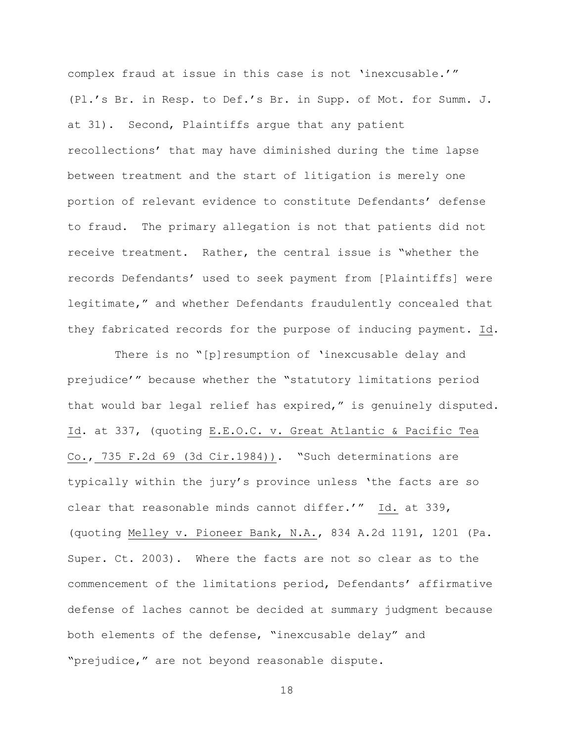complex fraud at issue in this case is not 'inexcusable.'" (Pl.'s Br. in Resp. to Def.'s Br. in Supp. of Mot. for Summ. J. at 31). Second, Plaintiffs argue that any patient recollections' that may have diminished during the time lapse between treatment and the start of litigation is merely one portion of relevant evidence to constitute Defendants' defense to fraud. The primary allegation is not that patients did not receive treatment. Rather, the central issue is "whether the records Defendants' used to seek payment from [Plaintiffs] were legitimate," and whether Defendants fraudulently concealed that they fabricated records for the purpose of inducing payment. Id.

There is no "[p]resumption of 'inexcusable delay and prejudice'" because whether the "statutory limitations period that would bar legal relief has expired," is genuinely disputed. Id. at 337, (quoting [E.E.O.C. v. Great Atlantic & Pacific Tea](https://1.next.westlaw.com/Link/Document/FullText?findType=Y&serNum=1984124236&pubNum=350&originatingDoc=I61779bec7c8a11d99c4dbb2f0352441d&refType=RP&originationContext=document&transitionType=DocumentItem&contextData=(sc.UserEnteredCitation))  Co., [735 F.2d 69 \(3d Cir.1984\)\)](https://1.next.westlaw.com/Link/Document/FullText?findType=Y&serNum=1984124236&pubNum=350&originatingDoc=I61779bec7c8a11d99c4dbb2f0352441d&refType=RP&originationContext=document&transitionType=DocumentItem&contextData=(sc.UserEnteredCitation)). "Such determinations are typically within the jury's province unless 'the facts are so clear that reasonable minds cannot differ.'" Id. at 339, (quoting [Melley v. Pioneer Bank, N.A.,](https://1.next.westlaw.com/Link/Document/FullText?findType=Y&serNum=2003716391&pubNum=162&originatingDoc=I61779bec7c8a11d99c4dbb2f0352441d&refType=RP&fi=co_pp_sp_162_1201&originationContext=document&transitionType=DocumentItem&contextData=(sc.UserEnteredCitation)#co_pp_sp_162_1201) 834 A.2d 1191, 1201 (Pa. [Super. Ct. 2003\).](https://1.next.westlaw.com/Link/Document/FullText?findType=Y&serNum=2003716391&pubNum=162&originatingDoc=I61779bec7c8a11d99c4dbb2f0352441d&refType=RP&fi=co_pp_sp_162_1201&originationContext=document&transitionType=DocumentItem&contextData=(sc.UserEnteredCitation)#co_pp_sp_162_1201) Where the facts are not so clear as to the commencement of the limitations period, Defendants' affirmative defense of laches cannot be decided at summary judgment because both elements of the defense, "inexcusable delay" and "prejudice," are not beyond reasonable dispute.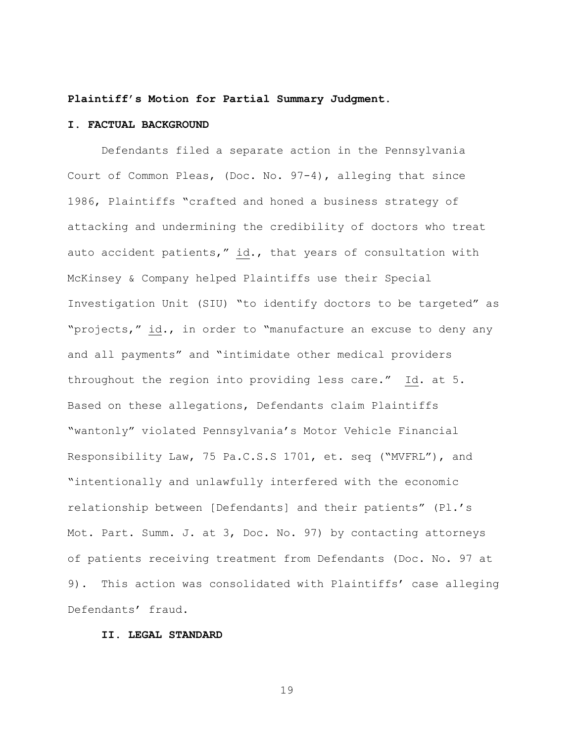#### **Plaintiff's Motion for Partial Summary Judgment.**

## **I. FACTUAL BACKGROUND**

Defendants filed a separate action in the Pennsylvania Court of Common Pleas, (Doc. No. 97-4), alleging that since 1986, Plaintiffs "crafted and honed a business strategy of attacking and undermining the credibility of doctors who treat auto accident patients," id., that years of consultation with McKinsey & Company helped Plaintiffs use their Special Investigation Unit (SIU) "to identify doctors to be targeted" as "projects," id., in order to "manufacture an excuse to deny any and all payments" and "intimidate other medical providers throughout the region into providing less care." Id. at 5. Based on these allegations, Defendants claim Plaintiffs "wantonly" violated Pennsylvania's Motor Vehicle Financial Responsibility Law, 75 Pa.C.S.S 1701, et. seq ("MVFRL"), and "intentionally and unlawfully interfered with the economic relationship between [Defendants] and their patients" (Pl.'s Mot. Part. Summ. J. at 3, Doc. No. 97) by contacting attorneys of patients receiving treatment from Defendants (Doc. No. 97 at 9). This action was consolidated with Plaintiffs' case alleging Defendants' fraud.

## **II. LEGAL STANDARD**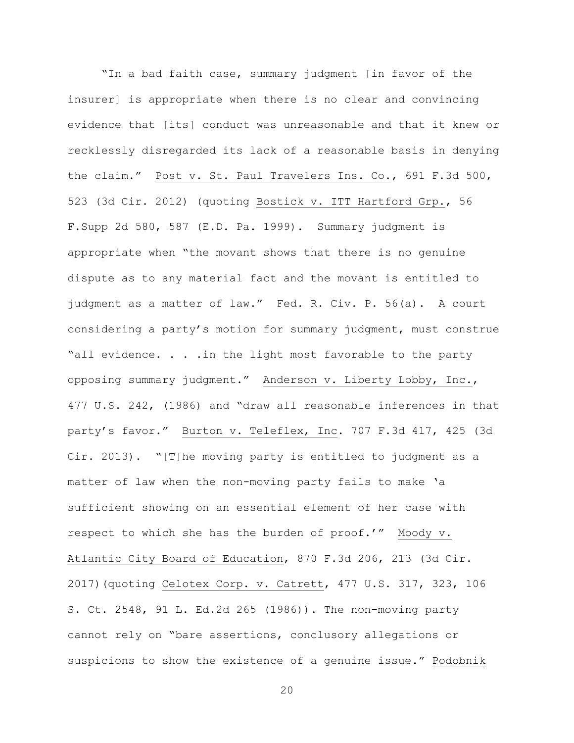"In a bad faith case, summary judgment [in favor of the insurer] is appropriate when there is no clear and convincing evidence that [its] conduct was unreasonable and that it knew or recklessly disregarded its lack of a reasonable basis in denying the claim." Post v. St. Paul Travelers Ins. Co., 691 F.3d 500, 523 (3d Cir. 2012) (quoting Bostick v. ITT Hartford Grp., 56 F.Supp 2d 580, 587 (E.D. Pa. 1999). Summary judgment is appropriate when "the movant shows that there is no genuine dispute as to any material fact and the movant is entitled to judgment as a matter of law." Fed. R. Civ. P. 56(a). A court considering a party's motion for summary judgment, must construe "all evidence. . . .in the light most favorable to the party opposing summary judgment." Anderson v. Liberty Lobby, Inc., 477 U.S. 242, (1986) and "draw all reasonable inferences in that party's favor." Burton v. Teleflex, Inc. 707 F.3d 417, 425 (3d Cir. 2013). "[T]he moving party is entitled to judgment as a matter of law when the non-moving party fails to make 'a sufficient showing on an essential element of her case with respect to which she has the burden of proof.'" Moody v. Atlantic City Board of Education, 870 F.3d 206, 213 (3d Cir. 2017)(quoting Celotex Corp. v. Catrett, 477 U.S. 317, 323, 106 S. Ct. 2548, 91 L. Ed.2d 265 (1986)). The non-moving party cannot rely on "bare assertions, conclusory allegations or suspicions to show the existence of a genuine issue." Podobnik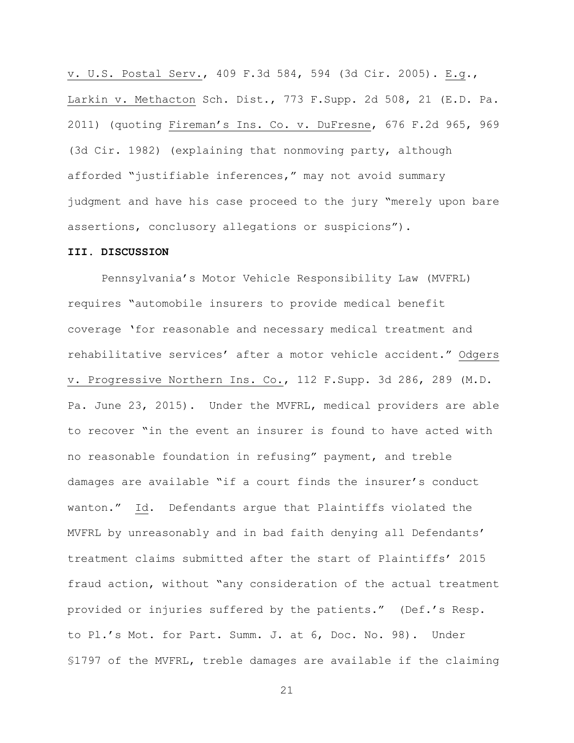v. U.S. Postal Serv., 409 F.3d 584, 594 (3d Cir. 2005). E.g., Larkin v. Methacton Sch. Dist., 773 F.Supp. 2d 508, 21 (E.D. Pa. 2011) (quoting Fireman's Ins. Co. v. DuFresne, 676 F.2d 965, 969 (3d Cir. 1982) (explaining that nonmoving party, although afforded "justifiable inferences," may not avoid summary judgment and have his case proceed to the jury "merely upon bare assertions, conclusory allegations or suspicions").

### **III. DISCUSSION**

Pennsylvania's Motor Vehicle Responsibility Law (MVFRL) requires "automobile insurers to provide medical benefit coverage 'for reasonable and necessary medical treatment and rehabilitative services' after a motor vehicle accident." Odgers v. Progressive Northern Ins. Co., 112 F.Supp. 3d 286, 289 (M.D. Pa. June 23, 2015). Under the MVFRL, medical providers are able to recover "in the event an insurer is found to have acted with no reasonable foundation in refusing" payment, and treble damages are available "if a court finds the insurer's conduct wanton." Id. Defendants argue that Plaintiffs violated the MVFRL by unreasonably and in bad faith denying all Defendants' treatment claims submitted after the start of Plaintiffs' 2015 fraud action, without "any consideration of the actual treatment provided or injuries suffered by the patients." (Def.'s Resp. to Pl.'s Mot. for Part. Summ. J. at 6, Doc. No. 98). Under §1797 of the MVFRL, treble damages are available if the claiming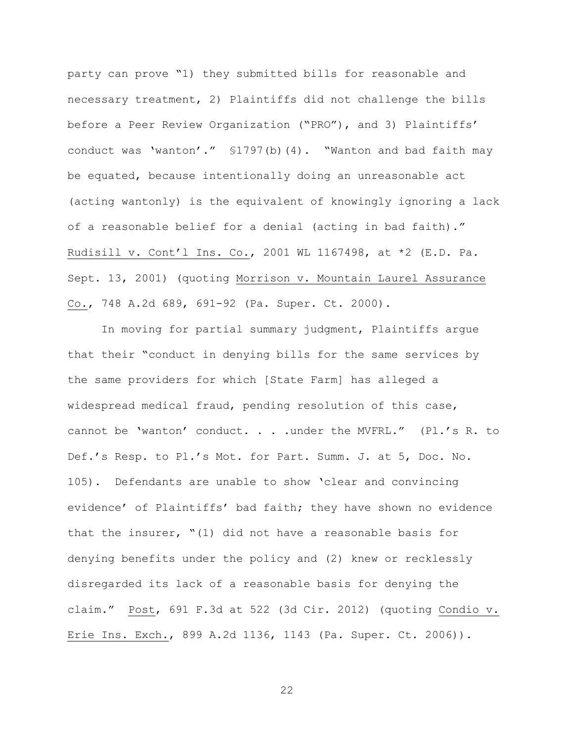party can prove "1) they submitted bills for reasonable and necessary treatment, 2) Plaintiffs did not challenge the bills before a Peer Review Organization ("PRO"), and 3) Plaintiffs' conduct was 'wanton'." §1797(b)(4). "Wanton and bad faith may be equated, because intentionally doing an unreasonable act (acting wantonly) is the equivalent of knowingly ignoring a lack of a reasonable belief for a denial (acting in bad faith)." Rudisill v. Cont'l Ins. Co., 2001 WL 1167498, at \*2 (E.D. Pa. Sept. 13, 2001) (quoting Morrison v. Mountain Laurel Assurance Co., 748 A.2d 689, 691-92 (Pa. Super. Ct. 2000).

In moving for partial summary judgment, Plaintiffs argue that their "conduct in denying bills for the same services by the same providers for which [State Farm] has alleged a widespread medical fraud, pending resolution of this case, cannot be 'wanton' conduct. . . .under the MVFRL." (Pl.'s R. to Def.'s Resp. to Pl.'s Mot. for Part. Summ. J. at 5, Doc. No. 105). Defendants are unable to show 'clear and convincing evidence' of Plaintiffs' bad faith; they have shown no evidence that the insurer, "(1) did not have a reasonable basis for denying benefits under the policy and (2) knew or recklessly disregarded its lack of a reasonable basis for denying the claim." Post, 691 F.3d at 522 (3d Cir. 2012) (quoting Condio v. Erie Ins. Exch., 899 A.2d 1136, 1143 (Pa. Super. Ct. 2006)).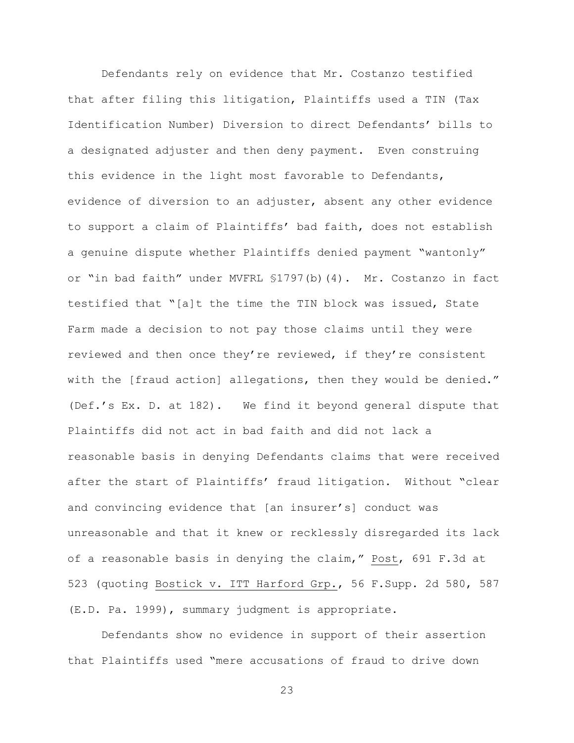Defendants rely on evidence that Mr. Costanzo testified that after filing this litigation, Plaintiffs used a TIN (Tax Identification Number) Diversion to direct Defendants' bills to a designated adjuster and then deny payment. Even construing this evidence in the light most favorable to Defendants, evidence of diversion to an adjuster, absent any other evidence to support a claim of Plaintiffs' bad faith, does not establish a genuine dispute whether Plaintiffs denied payment "wantonly" or "in bad faith" under MVFRL §1797(b)(4). Mr. Costanzo in fact testified that "[a]t the time the TIN block was issued, State Farm made a decision to not pay those claims until they were reviewed and then once they're reviewed, if they're consistent with the [fraud action] allegations, then they would be denied." (Def.'s Ex. D. at 182). We find it beyond general dispute that Plaintiffs did not act in bad faith and did not lack a reasonable basis in denying Defendants claims that were received after the start of Plaintiffs' fraud litigation. Without "clear and convincing evidence that [an insurer's] conduct was unreasonable and that it knew or recklessly disregarded its lack of a reasonable basis in denying the claim," Post, 691 F.3d at 523 (quoting Bostick v. ITT Harford Grp., 56 F.Supp. 2d 580, 587 (E.D. Pa. 1999), summary judgment is appropriate.

Defendants show no evidence in support of their assertion that Plaintiffs used "mere accusations of fraud to drive down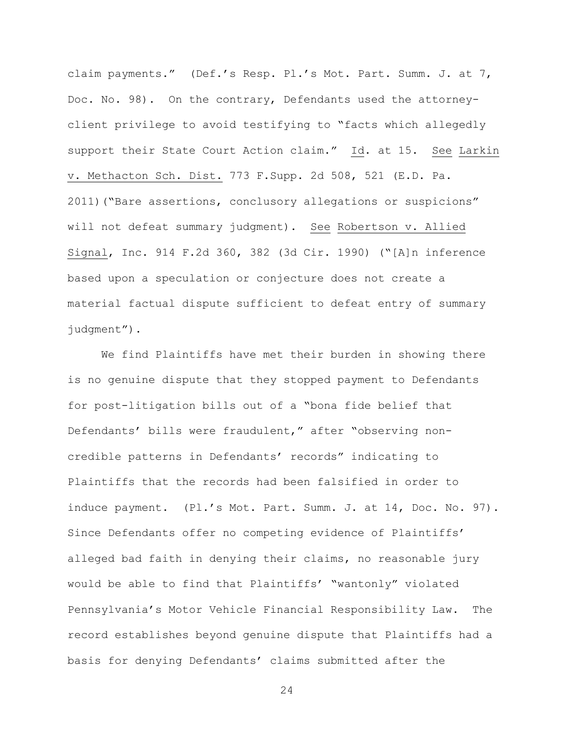claim payments." (Def.'s Resp. Pl.'s Mot. Part. Summ. J. at 7, Doc. No. 98). On the contrary, Defendants used the attorneyclient privilege to avoid testifying to "facts which allegedly support their State Court Action claim." Id. at 15. See Larkin v. Methacton Sch. Dist. 773 F.Supp. 2d 508, 521 (E.D. Pa. 2011)("Bare assertions, conclusory allegations or suspicions" will not defeat summary judgment). See Robertson v. Allied Signal, Inc. 914 F.2d 360, 382 (3d Cir. 1990) ("[A]n inference based upon a speculation or conjecture does not create a material factual dispute sufficient to defeat entry of summary judgment").

We find Plaintiffs have met their burden in showing there is no genuine dispute that they stopped payment to Defendants for post-litigation bills out of a "bona fide belief that Defendants' bills were fraudulent," after "observing noncredible patterns in Defendants' records" indicating to Plaintiffs that the records had been falsified in order to induce payment. (Pl.'s Mot. Part. Summ. J. at 14, Doc. No. 97). Since Defendants offer no competing evidence of Plaintiffs' alleged bad faith in denying their claims, no reasonable jury would be able to find that Plaintiffs' "wantonly" violated Pennsylvania's Motor Vehicle Financial Responsibility Law. The record establishes beyond genuine dispute that Plaintiffs had a basis for denying Defendants' claims submitted after the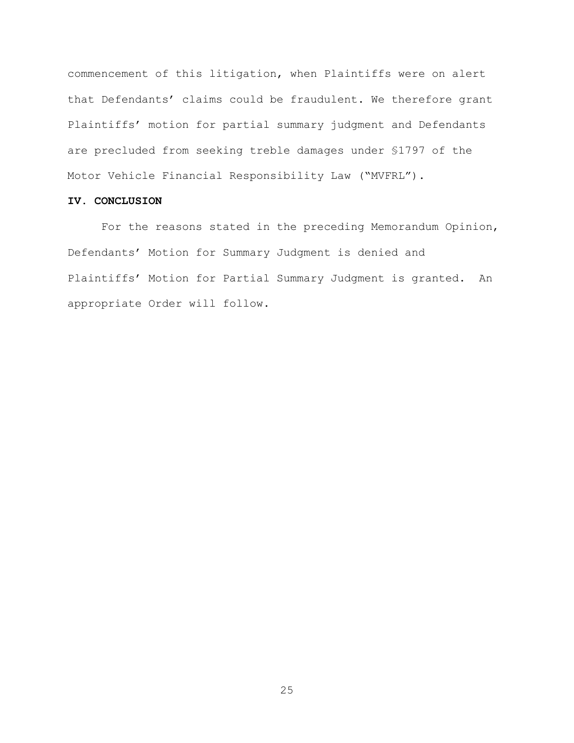commencement of this litigation, when Plaintiffs were on alert that Defendants' claims could be fraudulent. We therefore grant Plaintiffs' motion for partial summary judgment and Defendants are precluded from seeking treble damages under §1797 of the Motor Vehicle Financial Responsibility Law ("MVFRL").

## **IV. CONCLUSION**

For the reasons stated in the preceding Memorandum Opinion, Defendants' Motion for Summary Judgment is denied and Plaintiffs' Motion for Partial Summary Judgment is granted. An appropriate Order will follow.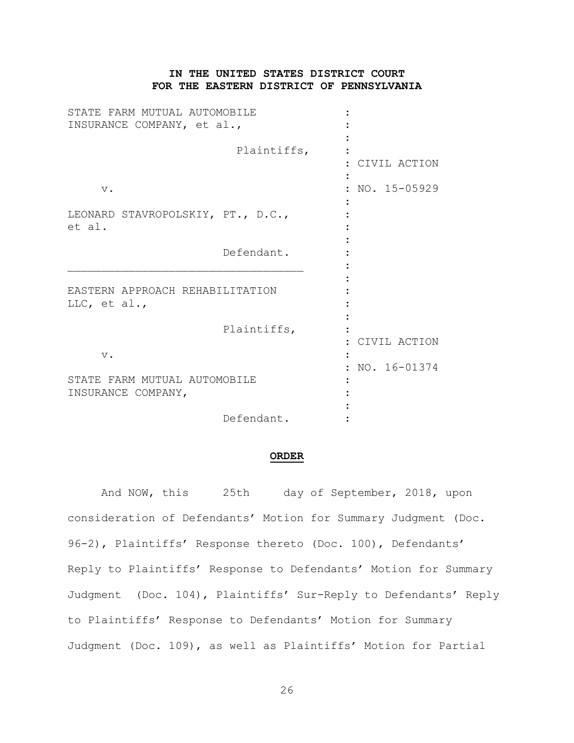# **IN THE UNITED STATES DISTRICT COURT FOR THE EASTERN DISTRICT OF PENNSYLVANIA**

| STATE FARM MUTUAL AUTOMOBILE<br>INSURANCE COMPANY, et al., |             |              |
|------------------------------------------------------------|-------------|--------------|
|                                                            | Plaintiffs, | CIVIL ACTION |
| $\mathbf v$ .                                              |             | NO. 15-05929 |
| LEONARD STAVROPOLSKIY, PT., D.C.,<br>et al.                |             |              |
|                                                            | Defendant.  |              |
| EASTERN APPROACH REHABILITATION<br>LLC, et al.,            |             |              |
|                                                            | Plaintiffs, | CIVIL ACTION |
| $V$ .                                                      |             | NO. 16-01374 |
| STATE FARM MUTUAL AUTOMOBILE<br>INSURANCE COMPANY,         |             |              |
|                                                            | Defendant.  |              |

#### **ORDER**

And NOW, this 25th day of September, 2018, upon consideration of Defendants' Motion for Summary Judgment (Doc. 96-2), Plaintiffs' Response thereto (Doc. 100), Defendants' Reply to Plaintiffs' Response to Defendants' Motion for Summary Judgment (Doc. 104), Plaintiffs' Sur-Reply to Defendants' Reply to Plaintiffs' Response to Defendants' Motion for Summary Judgment (Doc. 109), as well as Plaintiffs' Motion for Partial